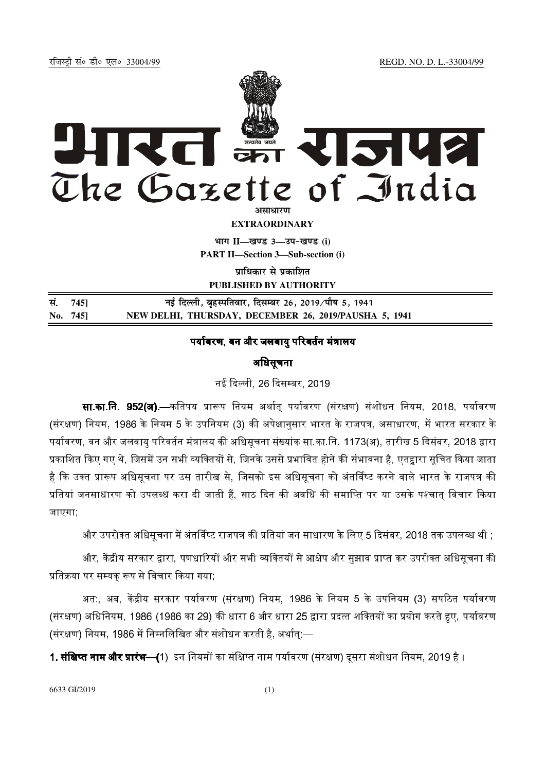jftLVªh laö Mhö ,yö&33004@99 REGD. NO. D. L.-33004/99



**EXTRAORDINARY**

 $\lim_{h \to 0} \frac{1}{h} = \frac{1}{h}$  and  $\lim_{h \to 0} \frac{1}{h} = \frac{1}{h}$ 

**PART II—Section 3—Sub-section (i)** 

**<u>पाधिकार से पकाशित</u>** 

**PUBLISHED BY AUTHORITY**

| सं. 745] | नई दिल्ली, बृहस्पतिवार, दिसम्बर 26, 2019/पौष 5, 1941  |
|----------|-------------------------------------------------------|
| No. 745] | NEW DELHI, THURSDAY, DECEMBER 26, 2019/PAUSHA 5, 1941 |

## पर्यावरण, वन और जलवाय परिवर्तन मंत्रालय

## अधिसूचना

नई दिल्ली. 26 दिसम्बर. 2019.

**सा.का.नि. 952(अ).—**कतिपय प्रारूप नियम अर्थात पर्यावरण (संरक्षण) संशोधन नियम. 2018. पर्यावरण (संरक्षण) नियम, 1986 के नियम 5 के उपनियम (3) की अपेक्षानसार भारत के राजपत्र, असाधारण, में भारत सरकार के पर्यावरण, वन और जलवाय परिवर्तन मंत्रालय की अधिसचना संख्यांक सा.का.नि. 1173(अ), तारीख 5 दिसंबर, 2018 द्वारा प्रकाशित किए गए थे, जिसमें उन सभी व्यक्तियों से, जिनके उससे प्रभावित होने की संभावना है, एतद्<mark>वा</mark>रा सूचित किया जाता है कि उक्त प्रारूप अधिसचना पर उस तारीख से. जिसको इस अधिसचना को अंतर्विष्ट करने वाले भारत के राजपत्र की प्रतियां जनसाधारण को उपलब्ध करा दी जाती हैं. साठ दिन की अवधि की समाप्ति पर या उसके पश्चात विचार किया जाएगा;

और उपरोक्त अधिसचना में अंतर्विष्ट राजपत्र की प्रतियां जन साधारण के लिए 5 दिसंबर. 2018 तक उपलब्ध थी :

और, केंद्रीय सरकार द्वारा, पणधारियों और सभी व्यक्तियों से आक्षेप और सझाव प्राप्त कर उपरोक्त अधिसचना की प्रतिक्रया पर सम्यक् रूप से विचार किया गया;

अत. अब. केंद्रीय सरकार पर्यावरण (संरक्षण) नियम. 1986 के नियम 5 के उपनियम (3) सपठित पर्यावरण (संरक्षण) अधिनियम, 1986 (1986 का 29) की धारा 6 और धारा 25 द्वारा प्रदत्त शक्तियों का प्रयोग करते हुए, पर्यावरण (संरक्षण) नियम, 1986 में निम्नलिखित और संशोधन करती है, अर्थात:—

<mark>1. संक्षिप्त नाम और प्रारंभ—(</mark>1) इन नियमों का संक्षिप्त नाम पर्यावरण (संरक्षण) दसरा संशोधन नियम, 2019 है ।

6633 GI/2019 (1)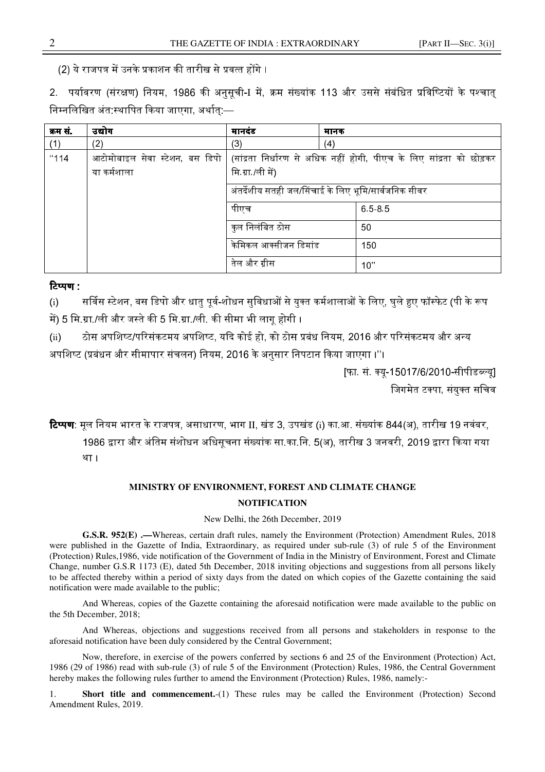(2) ये राजपत्र में उनके प्रकाशन की तारीख से प्रवत्त होंगे ।

2. पर्यावरण (संरक्षण) नियम, 1986 की अनुसूची-I में, क्रम संख्यांक 113 और उससे संबंधित प्रविष्टियों के पश्चात् निम्नलिखित अंत:स्थापित किया जाएगा, अर्थात:—

| क्रम सं | उद्योग                                          | मानदंड                                               | मानक                                                                 |  |
|---------|-------------------------------------------------|------------------------------------------------------|----------------------------------------------------------------------|--|
| (1)     | (2)                                             | (3)                                                  | (4)                                                                  |  |
| "114    | आटोमोबाइल सेवा स्टेशन, बस डिपो  <br>या कर्मशाला | मि ग्रा /ली में)                                     | (सांद्रता निर्धारण से अधिक नहीं होगी, पीएच के लिए सांद्रता को छोड़कर |  |
|         |                                                 | अंतर्देशीय सतही जल/सिंचाई के लिए भूमि/सार्वजनिक सीवर |                                                                      |  |
|         |                                                 | पीएच                                                 | 6585                                                                 |  |
|         |                                                 | कुल निलंबित ठोस                                      | 50                                                                   |  |
|         |                                                 | केमिकल आक्सीजन डिमांड                                | 150                                                                  |  |
|         |                                                 | तेल और ग्रीस                                         | 10"                                                                  |  |

## टिप्पण :

(i) . . . सर्विस स्टेशन, बस डिपो और धातु पूर्व-शोधन सुविधाओं से युक्त कर्मशालाओं के लिए, घुले हुए फॉस्फेट (पी के रूप में) 5 मि.ग्रा./ली और जस्ते की 5 मि.ग्रा./ली. की सीमा भी लाग होगी ।

(ii) ठोस अपशिष्ट/परिसंकटमय अपशिष्ट, यदि कोई हो, को ठोस प्रबंध नियम, 2016 और परिसंकटमय और अन्य अपशिष्ट (प्रबंधन और सीमापार संचलन) नियम, 2016 के अनुसार निपटान किया जाएगा ।''।

> [फा. सं. क्यू-15017/6/2010-सीपीडब्ल्यू] जिगमेत टक्पा, संयुक्त सचिव

**टिप्पण**: मूल नियम भारत के राजपत्र, असाधारण, भाग II, खंड 3, उपखंड (i) का आ. संख्यांक 844(अ), तारीख 19 नवंबर, 1986 द्वारा और अंतिम संशोधन अधिसचना संख्यांक सा.का.नि. 5(अ), तारीख 3 जनवरी, 2019 द्वारा किया गया। था ।

## **MINISTRY OF ENVIRONMENT, FOREST AND CLIMATE CHANGE NOTIFICATION**

New Delhi, the 26th December, 2019

**G.S.R. 952(E) .—**Whereas, certain draft rules, namely the Environment (Protection) Amendment Rules, 2018 were published in the Gazette of India, Extraordinary, as required under sub-rule (3) of rule 5 of the Environment (Protection) Rules,1986, vide notification of the Government of India in the Ministry of Environment, Forest and Climate Change, number G.S.R 1173 (E), dated 5th December, 2018 inviting objections and suggestions from all persons likely to be affected thereby within a period of sixty days from the dated on which copies of the Gazette containing the said notification were made available to the public;

And Whereas, copies of the Gazette containing the aforesaid notification were made available to the public on the 5th December, 2018;

And Whereas, objections and suggestions received from all persons and stakeholders in response to the aforesaid notification have been duly considered by the Central Government;

 Now, therefore, in exercise of the powers conferred by sections 6 and 25 of the Environment (Protection) Act, 1986 (29 of 1986) read with sub-rule (3) of rule 5 of the Environment (Protection) Rules, 1986, the Central Government hereby makes the following rules further to amend the Environment (Protection) Rules, 1986, namely:-

1. **Short title and commencement.**-(1) These rules may be called the Environment (Protection) Second Amendment Rules, 2019.